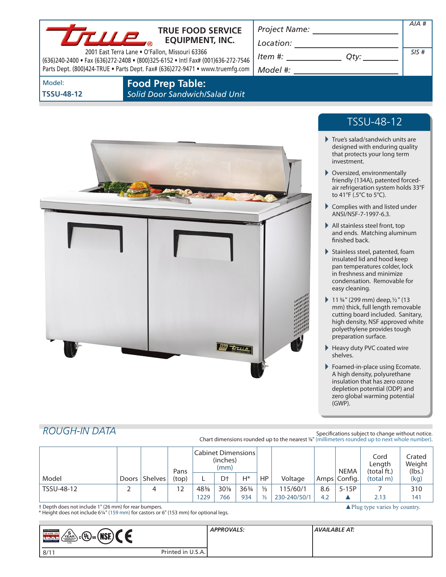## **TRUE FOOD SERVICE EQUIPMENT, INC.**

2001 East Terra Lane • O'Fallon, Missouri 63366 (636)240-2400 • Fax (636)272-2408 • (800)325-6152 • Intl Fax# (001)636-272-7546 Parts Dept. (800)424-TRUE • Parts Dept. Fax# (636)272-9471 • www.truemfg.com

*Project Name: Location:*

*Item #:*  $\sqrt{\frac{2}{\pi}}$ *Model #:*

Model: **TSSU-48-12** **Food Prep Table:** *Solid Door Sandwich/Salad Unit*

**By true** 

# TSSU-48-12

*AIA #*

*SIS #*

- True's salad/sandwich units are designed with enduring quality that protects your long term investment.
- Oversized, environmentally friendly (134A), patented forcedair refrigeration system holds 33°F to 41°F (.5°C to 5°C).
- ▶ Complies with and listed under ANSI/NSF-7-1997-6.3.
- All stainless steel front, top and ends. Matching aluminum finished back.
- $\blacktriangleright$  Stainless steel, patented, foam insulated lid and hood keep pan temperatures colder, lock in freshness and minimize condensation. Removable for easy cleaning.
- 113/4" (299 mm) deep,  $1/2$ " (13 mm) thick, full length removable cutting board included. Sanitary, high density, NSF approved white polyethylene provides tough preparation surface.
- Heavy duty PVC coated wire shelves.
- ▶ Foamed-in-place using Ecomate. A high density, polyurethane insulation that has zero ozone depletion potential (ODP) and zero global warming potential (GWP).

▲Plug type varies by country.

## *Rough-In Data*

### Specifications subject to change without notice. Chart dimensions rounded up to the nearest %" (millimeters rounded up to next whole number).

|            |       |                | Pans  | <b>Cabinet Dimensions</b><br>(inches)<br>(mm) |        |                 |               |              | <b>NEMA</b> | Cord<br>Length<br>(total ft.) | Crated<br>Weight<br>(lbs.) |      |
|------------|-------|----------------|-------|-----------------------------------------------|--------|-----------------|---------------|--------------|-------------|-------------------------------|----------------------------|------|
| Model      | Doors | <b>Shelves</b> | (top) |                                               | Dt     | $H^*$           | <b>HP</b>     | Voltage      |             | Amps Config.                  | (total m)                  | (kg) |
| TSSU-48-12 |       | 4              | 12    | 48%                                           | $30\%$ | $36\frac{3}{4}$ | $\frac{1}{3}$ | 115/60/1     | 8.6         | $5-15P$                       |                            | 310  |
|            |       |                |       | 1229                                          | 766    | 934             | $\frac{1}{3}$ | 230-240/50/1 | 4.2         |                               | 2.13                       | 141  |

† Depth does not include 1" (26 mm) for rear bumpers.

\* Height does not include 61/4" (159 mm) for castors or 6" (153 mm) for optional legs.

| TRIK REFEREEMENT<br>15<br>$_{c}$ (Up) us (<br><b>MADE IN</b><br>(маг)<br>YEAR<br>$U2$ .A<br><b>SINCE 1945</b><br>USA |                   | <b>APPROVALS:</b> | AVAILABLE AT: |
|----------------------------------------------------------------------------------------------------------------------|-------------------|-------------------|---------------|
| 8/17                                                                                                                 | Printed in U.S.A. |                   |               |